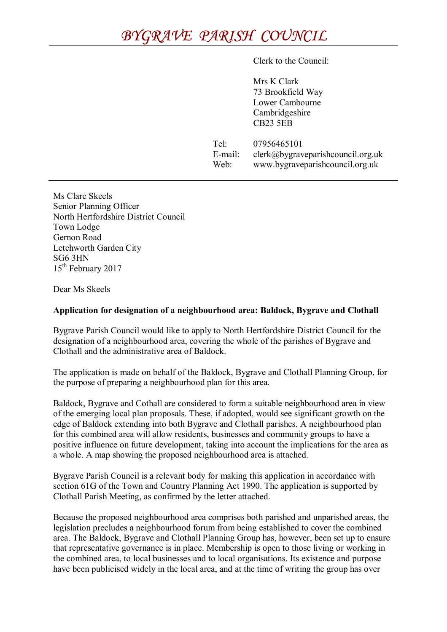## *BYGRAVE PARISH COUNCIL*

Clerk to the Council:

Mrs K Clark 73 Brookfield Way Lower Cambourne Cambridgeshire CB23 5EB

Tel: 07956465101 E-mail: clerk@bygraveparishcouncil.org.uk Web: www.bygraveparishcouncil.org.uk

Ms Clare Skeels Senior Planning Officer North Hertfordshire District Council Town Lodge Gernon Road Letchworth Garden City SG6 3HN 15<sup>th</sup> February 2017

Dear Ms Skeels

## **Application for designation of a neighbourhood area: Baldock, Bygrave and Clothall**

Bygrave Parish Council would like to apply to North Hertfordshire District Council for the designation of a neighbourhood area, covering the whole of the parishes of Bygrave and Clothall and the administrative area of Baldock.

The application is made on behalf of the Baldock, Bygrave and Clothall Planning Group, for the purpose of preparing a neighbourhood plan for this area.

Baldock, Bygrave and Cothall are considered to form a suitable neighbourhood area in view of the emerging local plan proposals. These, if adopted, would see significant growth on the edge of Baldock extending into both Bygrave and Clothall parishes. A neighbourhood plan for this combined area will allow residents, businesses and community groups to have a positive influence on future development, taking into account the implications for the area as a whole. A map showing the proposed neighbourhood area is attached.

Bygrave Parish Council is a relevant body for making this application in accordance with section 61G of the Town and Country Planning Act 1990. The application is supported by Clothall Parish Meeting, as confirmed by the letter attached.

Because the proposed neighbourhood area comprises both parished and unparished areas, the legislation precludes a neighbourhood forum from being established to cover the combined area. The Baldock, Bygrave and Clothall Planning Group has, however, been set up to ensure that representative governance is in place. Membership is open to those living or working in the combined area, to local businesses and to local organisations. Its existence and purpose have been publicised widely in the local area, and at the time of writing the group has over